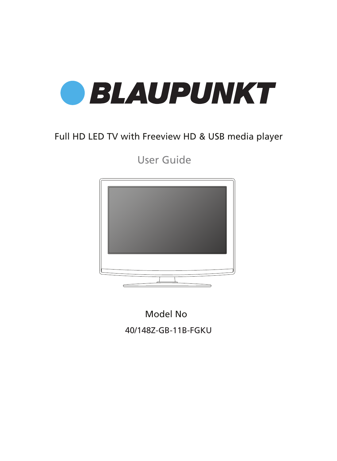

### Full HD LED TV with Freeview HD & USB media player

User Guide



Model No 40/148Z-GB-11B-FGKU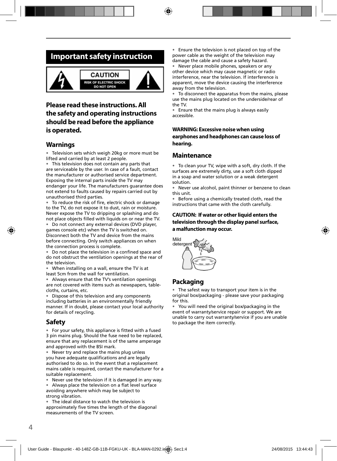### **Important safety instruction**



### **Please read these instructions. All the safety and operating instructions should be read before the appliance is operated.**

#### **Warnings**

• Television sets which weigh 20kg or more must be lifted and carried by at least 2 people.

• This television does not contain any parts that are serviceable by the user. In case of a fault, contact the manufacturer or authorised service department. Exposing the internal parts inside the TV may endanger your life. The manufacturers guarantee does not extend to faults caused by repairs carried out by unauthorised third parties.

To reduce the risk of fire, electric shock or damage to the TV, do not expose it to dust, rain or moisture. Never expose the TV to dripping or splashing and do not place objects filled with liquids on or near the TV.

• Do not connect any external devices (DVD player, games console etc) when the TV is switched on. Disconnect both the TV and device from the mains before connecting. Only switch appliances on when the connection process is complete.

Do not place the television in a confined space and do not obstruct the ventilation openings at the rear of the television.

• When installing on a wall, ensure the TV is at least 5cm from the wall for ventilation.

• Always ensure that the TV's ventilation openings are not covered with items such as newspapers, tablecloths, curtains, etc.

• Dispose of this television and any components including batteries in an environmentally friendly manner. If in doubt, please contact your local authority for details of recycling.

#### **Safety**

• For your safety, this appliance is fitted with a fused 3 pin mains plug. Should the fuse need to be replaced, ensure that any replacement is of the same amperage and approved with the BSI mark.

• Never try and replace the mains plug unless you have adequate qualifications and are legally authorised to do so. In the event that a replacement mains cable is required, contact the manufacturer for a suitable replacement.

• Never use the television if it is damaged in any way.

• Always place the television on a flat level surface avoiding anywhere which may be subject to strong vibration.

• The ideal distance to watch the television is approximately five times the length of the diagonal measurements of the TV screen.

• Ensure the television is not placed on top of the power cable as the weight of the television may damage the cable and cause a safety hazard.

Never place mobile phones, speakers or any other device which may cause magnetic or radio interference, near the television. If interference is apparent, move the device causing the interference away from the television.

• To disconnect the apparatus from the mains, please use the mains plug located on the underside/rear of the TV.

• Ensure that the mains plug is always easily accessible.

#### **WARNING: Excessive noise when using**

**earphones and headphones can cause loss of hearing.**

#### **Maintenance**

• To clean your TV, wipe with a soft, dry cloth. If the surfaces are extremely dirty, use a soft cloth dipped in a soap and water solution or a weak detergent solution.

• Never use alcohol, paint thinner or benzene to clean this unit.

• Before using a chemically treated cloth, read the instructions that came with the cloth carefully.

#### **CAUTION: If water or other liquid enters the television through the display panel surface, a malfunction may occur.**



### **Packaging**

The safest way to transport your item is in the original box/packaging - please save your packaging for this.

• You will need the original box/packaging in the event of warranty/service repair or support. We are unable to carry out warranty/service if you are unable to package the item correctly.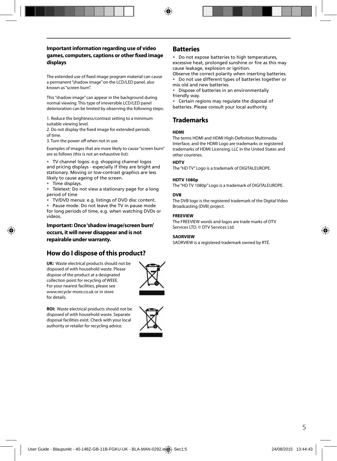#### **Important information regarding use of video games, computers, captions or other fi xed image displays**

The extended use of fixed image program material can cause a permanent "shadow image" on the LCD/LED panel, also known as "screen burn".

This "shadow image" can appear in the background during normal viewing. This type of irreversible LCD/LED panel deterioration can be limited by observing the following steps:

1. Reduce the brightness/contrast setting to a minimum suitable viewing level.

2. Do not display the fixed image for extended periods of time.

3. Turn the power off when not in use.

Examples of images that are more likely to cause "screen burn" are as follows (this is not an exhaustive list):

• TV channel logos: e.g. shopping channel logos and pricing displays - especially if they are bright and stationary. Moving or low-contrast graphics are less likely to cause ageing of the screen.

• Time displays.

• Teletext: Do not view a stationary page for a long period of time

• TV/DVD menus: e.g. listings of DVD disc content.

• Pause mode: Do not leave the TV in pause mode for long periods of time, e.g. when watching DVDs or videos.

**Important: Once 'shadow image/screen burn' occurs, it will never disappear and is not repairable under warranty.**

### **How do I dispose of this product?**

**UK:** Waste electrical products should not be disposed of with household waste. Please dispose of the product at a designated collection point for recycling of WEEE. For your nearest facilities, please see www.recycle-more.co.uk or in store for details.



**ROI:** Waste electrical products should not be disposed of with household waste. Separate disposal facilities exist. Check with your local authority or retailer for recycling advice.



#### **Batteries**

• Do not expose batteries to high temperatures, excessive heat, prolonged sunshine or fire as this may cause leakage, explosion or ignition.

Observe the correct polarity when inserting batteries. • Do not use different types of batteries together or mix old and new batteries.

• Dispose of batteries in an environmentally friendly way.

• Certain regions may regulate the disposal of batteries. Please consult your local authority.

### **Trademarks**

#### **HDMI**

The terms HDMI and HDMI High-Definition Multimedia Interface, and the HDMI Logo are trademarks or registered trademarks of HDMI Licensing, LLC in the United States and other countries.

#### **HDTV**

The "HD TV" Logo is a trademark of DIGITALEUROPE.

#### **HDTV 1080p**

The "HD TV 1080p" Logo is a trademark of DIGITALEUROPE.

#### **DVB**

The DVB logo is the registered trademark of the Digital Video Broadcasting (DVB) project.

#### **FREEVIEW**

The FREEVIEW words and logos are trade marks of DTV Services LTD. © DTV Services Ltd.

#### **SAORVIEW**

SAORVIEW is a registered trademark owned by RTÉ.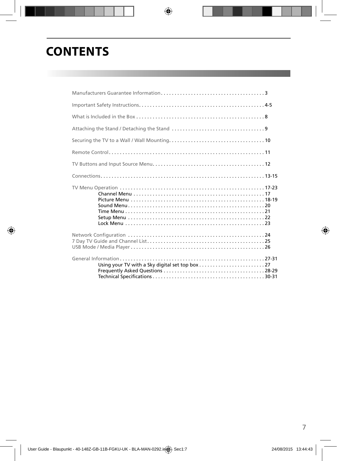# **CONTENTS**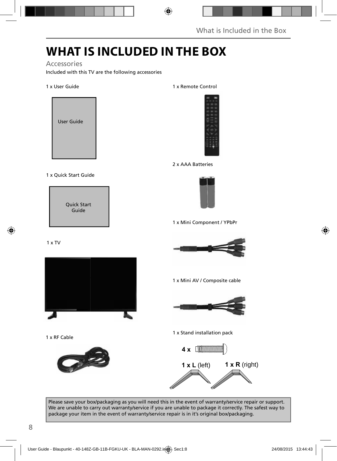## **WHAT IS INCLUDED IN THE BOX**

#### Accessories

Included with this TV are the following accessories

#### 1 x User Guide



#### 1 x Quick Start Guide

Quick Start Guide

#### 1 x TV



1 x RF Cable



#### 1 x Remote Control



#### 2 x AAA Batteries



1 x Mini Component / YPbPr



1 x Mini AV / Composite cable



1 x Stand installation pack



Please save your box/packaging as you will need this in the event of warranty/service repair or support. We are unable to carry out warranty/service if you are unable to package it correctly. The safest way to package your item in the event of warranty/service repair is in it's original box/packaging.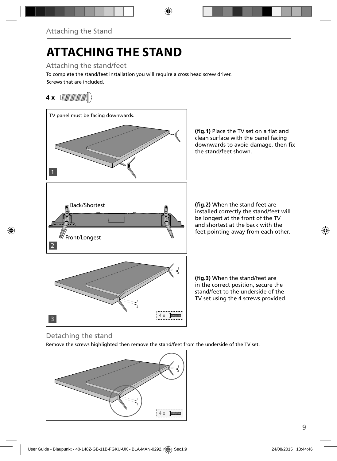# **ATTACHING THE STAND**

Attaching the stand/feet

Screws that are included. To complete the stand/feet installation you will require a cross head screw driver.

### **4 x**



(fig.1) Place the TV set on a flat and clean surface with the panel facing downwards to avoid damage, then fix the stand/feet shown.

**(fig.2)** When the stand feet are installed correctly the stand/feet will be longest at the front of the TV and shortest at the back with the feet pointing away from each other.

**(fig.3)** When the stand/feet are in the correct position, secure the stand/feet to the underside of the TV set using the 4 screws provided.

### Detaching the stand

Remove the screws highlighted then remove the stand/feet from the underside of the TV set.

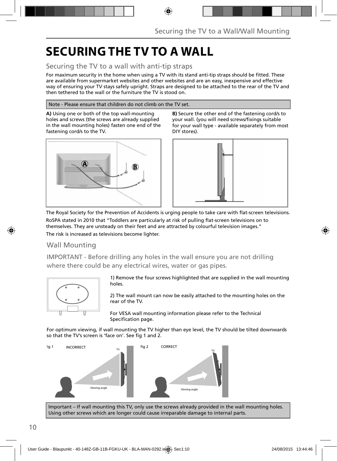## **SECURING THE TV TO A WALL**

### Securing the TV to a wall with anti-tip straps

For maximum security in the home when using a TV with its stand anti-tip straps should be fitted. These are available from supermarket websites and other websites and are an easy, inexpensive and effective way of ensuring your TV stays safely upright. Straps are designed to be attached to the rear of the TV and then tethered to the wall or the furniture the TV is stood on.

#### Note - Please ensure that children do not climb on the TV set.

**A)** Using one or both of the top wall-mounting holes and screws (the screws are already supplied in the wall mounting holes) fasten one end of the fastening cord/s to the TV.



**B)** Secure the other end of the fastening cord/s to your wall. (you will need screws/fixings suitable for your wall type - available separately from most DIY stores).



The Royal Society for the Prevention of Accidents is urging people to take care with flat-screen televisions. RoSPA stated in 2010 that "Toddlers are particularly at risk of pulling flat-screen televisions on to

themselves. They are unsteady on their feet and are attracted by colourful television images." The risk is increased as televisions become lighter.

### Wall Mounting

IMPORTANT - Before drilling any holes in the wall ensure you are not drilling where there could be any electrical wires, water or gas pipes.



1) Remove the four screws highlighted that are supplied in the wall mounting holes.

2) The wall mount can now be easily attached to the mounting holes on the rear of the TV.

For VESA wall mounting information please refer to the Technical Specification page.

For optimum viewing, if wall mounting the TV higher than eye level, the TV should be tilted downwards so that the TV's screen is 'face on'. See fig 1 and 2.



Important – If wall mounting this TV, only use the screws already provided in the wall mounting holes. Using other screws which are longer could cause irreparable damage to internal parts.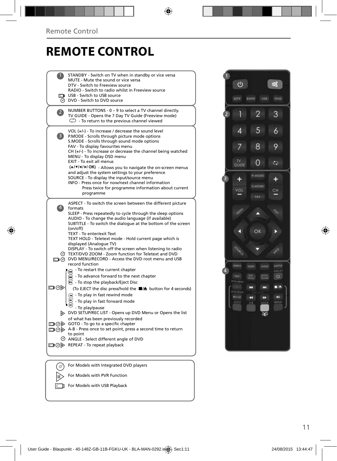## **REMOTE CONTROL**

|                   | STANDBY - Switch on TV when in standby or vice versa<br>MUTE - Mute the sound or vice versa<br>DTV - Switch to Freeview source<br>RADIO - Switch to radio whilst in Freeview source<br><b>The USB - Switch to USB source</b><br>O DVD - Switch to DVD source                                                                                                                                                                                                                                                                                                                                                                           |  |
|-------------------|----------------------------------------------------------------------------------------------------------------------------------------------------------------------------------------------------------------------------------------------------------------------------------------------------------------------------------------------------------------------------------------------------------------------------------------------------------------------------------------------------------------------------------------------------------------------------------------------------------------------------------------|--|
| 2                 | NUMBER BUTTONS - 0 - 9 to select a TV channel directly.<br>TV GUIDE - Opens the 7 Day TV Guide (Freeview mode)<br>$\mathbb{C}$ - To return to the previous channel viewed                                                                                                                                                                                                                                                                                                                                                                                                                                                              |  |
| 3)                | VOL (+/-) - To increase / decrease the sound level<br>P.MODE - Scrolls through picture mode options<br>S.MODE - Scrolls through sound mode options<br>FAV - To display favourites menu<br>$CH (+/-)$ - To increase or decrease the channel being watched<br>MENU - To display OSD menu<br><b>EXIT - To exit all menus</b><br>(A/V/4/M/OK) - Allows you to navigate the on-screen menus<br>and adjust the system settings to your preference<br>SOURCE - To display the input/source menu<br>INFO - Press once for now/next channel information<br>Press twice for programme information about current<br>programme                     |  |
| $\vert 4 \rangle$ | ASPECT - To switch the screen between the different picture<br>formats<br>SLEEP - Press repeatedly to cycle through the sleep options<br>AUDIO - To change the audio language (if available)<br>SUBTITLE - To switch the dialogue at the bottom of the screen<br>(on/off)<br>TEXT - To enter/exit Text<br>TEXT HOLD - Teletext mode - Hold current page which is<br>displayed (Analoque TV)<br>DISPLAY - To switch off the screen when listening to radio<br>TEXT/DVD ZOOM - Zoom function for Teletext and DVD<br>DVD MENU/RECORD - Access the DVD root menu and USB<br>record function                                               |  |
| ▭⊙▷               | - To restart the current chapter<br>To advance forward to the next chapter<br><b>B</b> - To stop the playback/Eject Disc<br>(To EJECT the disc press/hold the ■▲ button for 4 seconds)<br>$\left( \widehat{A} \right)$ - To play in fast rewind mode<br>- To play in fast forward mode<br>- To play/pause<br>DVD SETUP/REC LIST - Opens up DVD Menu or Opens the list<br>of what has been previously recorded<br>$\Box$ $\odot$ $\odot$ GOTO - To go to a specific chapter<br>A-B - Press once to set point, press a second time to return<br>to point<br>© ANGLE - Select different angle of DVD<br>□ ⊙ > REPEAT - To repeat playback |  |
|                   | For Models with Integrated DVD players                                                                                                                                                                                                                                                                                                                                                                                                                                                                                                                                                                                                 |  |
|                   | For Models with PVR Function                                                                                                                                                                                                                                                                                                                                                                                                                                                                                                                                                                                                           |  |



For Models with USB Playback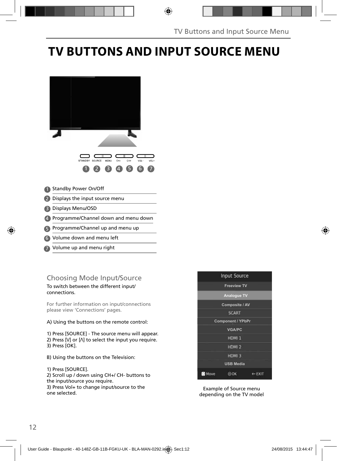## **TV BUTTONS AND INPUT SOURCE MENU**



- Volume down and menu left 6
- Volume up and menu right 7

### Choosing Mode Input/Source

To switch between the different input/ connections.

For further information on input/connections please view 'Connections' pages.

#### A) Using the buttons on the remote control:

1) Press [SOURCE] - The source menu will appear. 2) Press  $[V]$  or  $[\Lambda]$  to select the input you require. 3) Press [OK].

- B) Using the buttons on the Television:
- 1) Press [SOURCE]. 2) Scroll up / down using CH+/ CH- buttons to the input/source you require. 3) Press Vol+ to change input/source to the one selected.



Example of Source menu depending on the TV model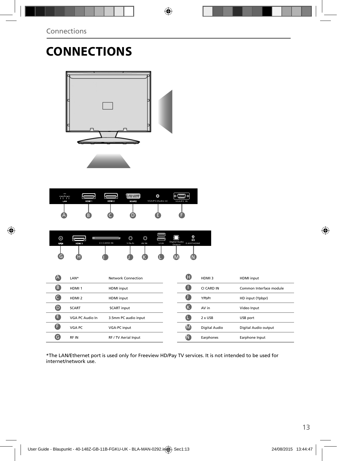# **CONNECTIONS**



| LAN | HDMI1 | 28<br>HDM <sub>2</sub> | WWWW<br><b>SCART</b> | ٥<br>VGA/PC (Audio in) | <b>USSE</b><br>۰<br>1 ത<br>VGA/PC IN |
|-----|-------|------------------------|----------------------|------------------------|--------------------------------------|
| A   | B.    |                        |                      |                        |                                      |

| ⊚<br>FF IN | HDM 3 | lu<br>CI CARD IN | O<br>Y Pb Pr | O<br>AV IN | USB | Digital Audio<br>Output | ٥<br>ക<br><b>EARPHONE</b> |
|------------|-------|------------------|--------------|------------|-----|-------------------------|---------------------------|
| G          |       |                  |              |            |     |                         |                           |

| $\boldsymbol{\mathsf{A}}$ | LAN*              | Network Connection   | O           | HDMI3         | HDMI input              |
|---------------------------|-------------------|----------------------|-------------|---------------|-------------------------|
| ß                         | HDMI <sub>1</sub> | <b>HDMI</b> input    | a           | CI CARD IN    | Common Interface module |
|                           | HDMI <sub>2</sub> | HDMI input           | O           | YPbPr         | HD input (Ypbpr)        |
| D                         | <b>SCART</b>      | <b>SCART</b> input   | (K          | AV in         | Video Input             |
| ê                         | VGA PC Audio In   | 3.5mm PC audio input | Œ           | 2 x USB       | USB port                |
| ß                         | VGA PC            | VGA-PC input         | M           | Digital Audio | Digital Audio output    |
| G                         | RF IN             | RF / TV Aerial Input | $\mathsf N$ | Earphones     | Earphone Input          |

\*The LAN/Ethernet port is used only for Freeview HD/Pay TV services. It is not intended to be used for internet/network use.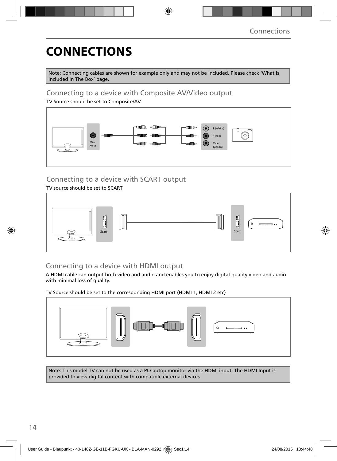# **CONNECTIONS**

Note: Connecting cables are shown for example only and may not be included. Please check 'What Is Included In The Box' page.

### Connecting to a device with Composite AV/Video output

TV Source should be set to Composite/AV



### Connecting to a device with SCART output

TV source should be set to SCART



### Connecting to a device with HDMI output

A HDMI cable can output both video and audio and enables you to enjoy digital-quality video and audio with minimal loss of quality.

TV Source should be set to the corresponding HDMI port (HDMI 1, HDMI 2 etc)



Note: This model TV can not be used as a PC/laptop monitor via the HDMI input. The HDMI Input is provided to view digital content with compatible external devices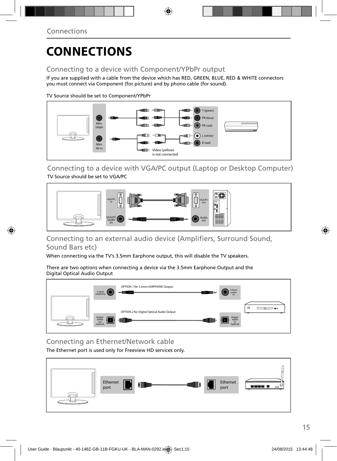# **CONNECTIONS**

### Connecting to a device with Component/YPbPr output

If you are supplied with a cable from the device which has RED, GREEN, BLUE, RED & WHITE connectors you must connect via Component (for picture) and by phono cable (for sound).

TV Source should be set to Component/YPbPr



Connecting to a device with VGA/PC output (Laptop or Desktop Computer) TV Source should be set to VGA/PC



### Connecting to an external audio device (Amplifiers, Surround Sound, Sound Bars etc)

When connecting via the TV's 3.5mm Earphone output, this will disable the TV speakers.

There are two options when connecting a device via the 3.5mm Earphone Output and the Digital Optical Audio Output



Connecting an Ethernet/Network cable

The Ethernet port is used only for Freeview HD services only.

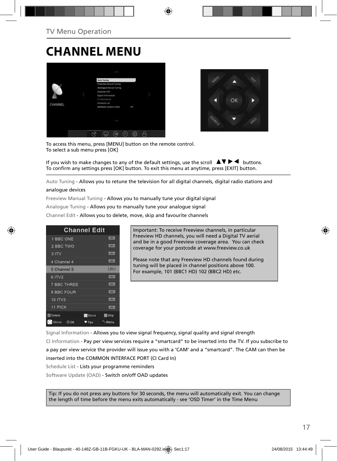## **CHANNEL MENU**





To access this menu, press [MENU] button on the remote control. To select a sub menu press [OK]

If you wish to make changes to any of the default settings, use the scroll  $\Box \blacktriangledown \blacktriangleright \blacktriangleleft$  buttons. To confirm any settings press [OK] button. To exit this menu at anytime, press [EXIT] button.

Auto Tuning - Allows you to retune the television for all digital channels, digital radio stations and

#### analogue devices

Freeview Manual Tuning - Allows you to manually tune your digital signal

Analogue Tuning - Allows you to manually tune your analogue signal

Channel Edit - Allows you to delete, move, skip and favourite channels

|                    | <b>Channel Edit</b>        |
|--------------------|----------------------------|
| 1 BBC ONE          | <b>LIBRARY</b>             |
| 2 BBC TWO          |                            |
| 3 ITV              | <b>DTET</b>                |
| 4 Channel 4        | <b>LOTAL</b>               |
| 5 Channel 5        | $5000 - 1$                 |
| 6 ITV2             | 10000                      |
| <b>7 BBC THREE</b> | <b>LOTH:</b>               |
| 9 BBC FOUR         | <b>DV</b>                  |
| 10 ITV3            | <b>COTWIL</b>              |
| 11 PICK            | <b>LOTAL</b>               |
| <b>Delete</b>      | <b>Move</b><br><b>Skip</b> |
| Move<br>$\odot$ OK | Menu<br>Fay                |

Important: To receive Freeview channels, in particular Freeview HD channels, you will need a Digital TV aerial and be in a good Freeview coverage area. You can check coverage for your postcode at www.freeview.co.uk

Please note that any Freeview HD channels found during tuning will be placed in channel positions above 100. For example, 101 (BBC1 HD) 102 (BBC2 HD) etc.

Signal Information - Allows you to view signal frequency, signal quality and signal strength CI Information - Pay per view services require a "smartcard" to be inserted into the TV. If you subscribe to a pay per view service the provider will issue you with a 'CAM' and a "smartcard". The CAM can then be inserted into the COMMON INTERFACE PORT (CI Card In) Schedule List - Lists your programme reminders

Software Update (OAD) - Switch on/off OAD updates

Tip: If you do not press any buttons for 30 seconds, the menu will automatically exit. You can change the length of time before the menu exits automatically - see 'OSD Timer' in the Time Menu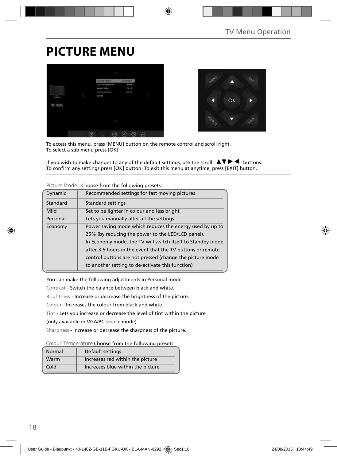## **PICTURE MENU**





To access this menu, press [MENU] button on the remote control and scroll right. To select a sub menu press [OK]

If you wish to make changes to any of the default settings, use the scroll  $\Box \blacktriangledown \blacktriangleright \blacktriangleleft$  buttons. To confirm any settings press [OK] button. To exit this menu at anytime, press [EXIT] button.

| Dynamic                                                    | Recommended settings for fast moving pictures              |  |  |
|------------------------------------------------------------|------------------------------------------------------------|--|--|
| Standard                                                   | <b>Standard settings</b>                                   |  |  |
| Mild                                                       | Set to be lighter in colour and less bright                |  |  |
| Personal                                                   | Lets you manually alter all the settings                   |  |  |
| Economy                                                    | Power saving mode which reduces the energy used by up to   |  |  |
|                                                            | 25% (by reducing the power to the LED/LCD panel).          |  |  |
| In Economy mode, the TV will switch itself to Standby mode |                                                            |  |  |
|                                                            | after 3-5 hours in the event that the TV buttons or remote |  |  |
|                                                            | control buttons are not pressed (change the picture mode   |  |  |
|                                                            | to another setting to de-activate this function)           |  |  |

**Picture Mode** - Choose from the following presets:

You can make the following adjustments in **Personal** mode:

Contrast - Switch the balance between black and white.

Brightness - Increase or decrease the brightness of the picture.

Colour - Increases the colour from black and white.

Tint - Lets you increase or decrease the level of tint within the picture

(only available in VGA/PC source mode).

Sharpness - Increase or decrease the sharpness of the picture.

**Colour Temperature** Choose from the following presets:

| Normal | Default settings                  |
|--------|-----------------------------------|
| Warm   | Increases red within the picture  |
| Cold   | Increases blue within the picture |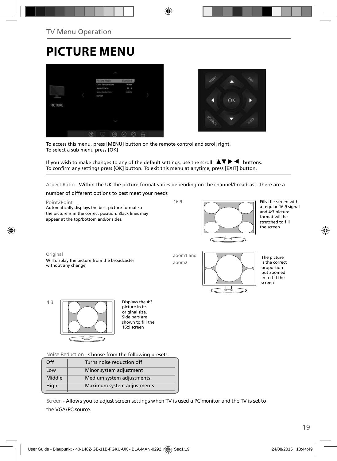# **PICTURE MENU**





To access this menu, press [MENU] button on the remote control and scroll right. To select a sub menu press [OK]

If you wish to make changes to any of the default settings, use the scroll  $\blacktriangle \blacktriangledown \blacktriangleright \blacktriangleleft$  buttons. To confirm any settings press [OK] button. To exit this menu at anytime, press [EXIT] button.

Aspect Ratio - Within the UK the picture format varies depending on the channel/broadcast. There are a

number of different options to best meet your needs

Point2Point Automatically displays the best picture format so the picture is in the correct position. Black lines may appear at the top/bottom and/or sides.

16:9



Fills the screen with a regular 16:9 signal and 4:3 picture format will be stretched to fill the screen

Original Will display the picture from the broadcaster without any change

Zoom1 and Zoom2



The picture is the correct proportion but zoomed in to fill the screen

4:3 **Displays the 4:3** 

picture in its .<br>original size. Side bars are shown to fill the 16:9 screen

**Noise Reduction** - Choose from the following presets:

| Off    | Turns noise reduction off  |  |
|--------|----------------------------|--|
| Low    | Minor system adjustment    |  |
| Middle | Medium system adjustments  |  |
| High   | Maximum system adjustments |  |
|        |                            |  |

**Screen - Allows you to adjust screen settings when TV is used a PC monitor and the TV is set to the VGA/PC source.**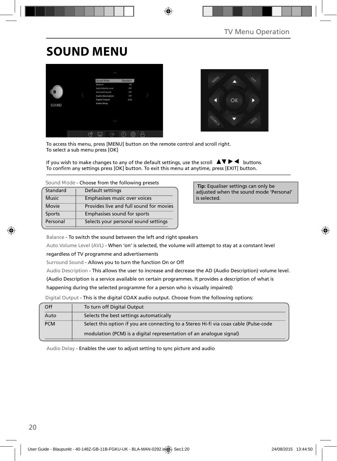## **SOUND MENU**





To access this menu, press [MENU] button on the remote control and scroll right. To select a sub menu press [OK]

If you wish to make changes to any of the default settings, use the scroll  $\blacktriangle \blacktriangledown \blacktriangleright \blacktriangleleft$  buttons. To confirm any settings press [OK] button. To exit this menu at anytime, press [EXIT] button.

**Sound Mode** - Choose from the following presets

| Standard     | Default settings                        |
|--------------|-----------------------------------------|
| <b>Music</b> | Emphasises music over voices            |
| Movie        | Provides live and full sound for movies |
| Sports       | Emphasises sound for sports             |
| Personal     | Selects your personal sound settings    |

 **Tip:** Equaliser settings can only be adjusted when the sound mode 'Personal' is selected.

Balance - To switch the sound between the left and right speakers

Auto Volume Level (AVL) - When 'on' is selected, the volume will attempt to stay at a constant level

regardless of TV programme and advertisements

Surround Sound - Allows you to turn the function On or Off

Audio Description - This allows the user to increase and decrease the AD (Audio Description) volume level.

(Audio Description is a service available on certain programmes. It provides a description of what is

happening during the selected programme for a person who is visually impaired)

Digital Output - This is the digital COAX audio output. Choose from the following options:

| Off        | To turn off Digital Output                                                            |
|------------|---------------------------------------------------------------------------------------|
| Auto       | Selects the best settings automatically                                               |
| <b>PCM</b> | Select this option if you are connecting to a Stereo Hi-fi via coax cable (Pulse-code |
|            | modulation (PCM) is a digital representation of an analogue signal)                   |

Audio Delay - Enables the user to adjust setting to sync picture and audio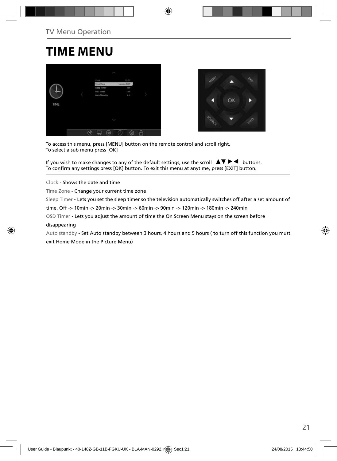### **TIME MENU**





To access this menu, press [MENU] button on the remote control and scroll right. To select a sub menu press [OK]

If you wish to make changes to any of the default settings, use the scroll  $\Box \blacktriangledown \blacktriangleright \blacktriangleleft$  buttons. To confirm any settings press [OK] button. To exit this menu at anytime, press [EXIT] button.

Clock - Shows the date and time

Time Zone - Change your current time zone

Sleep Timer - Lets you set the sleep timer so the television automatically switches off after a set amount of

time. Off -> 10min -> 20min -> 30min -> 60min -> 90min -> 120min -> 180min -> 240min

OSD Timer - Lets you adjust the amount of time the On Screen Menu stays on the screen before

#### disappearing

Auto standby - Set Auto standby between 3 hours, 4 hours and 5 hours ( to turn off this function you must exit Home Mode in the Picture Menu)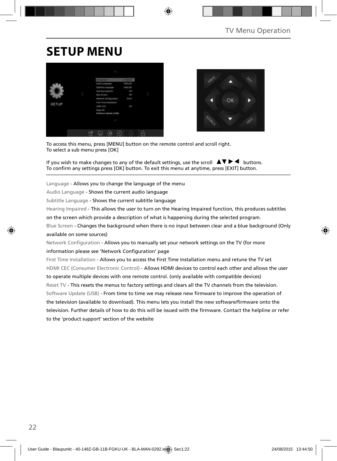## **SETUP MENU**





To access this menu, press [MENU] button on the remote control and scroll right. To select a sub menu press [OK]

If you wish to make changes to any of the default settings, use the scroll  $\Box \Box \blacktriangleright \blacktriangleleft$  buttons. To confirm any settings press [OK] button. To exit this menu at anytime, press [EXIT] button.

Language - Allows you to change the language of the menu

Audio Language - Shows the current audio language

Subtitle Language - Shows the current subtitle language

Hearing Impaired - This allows the user to turn on the Hearing Impaired function, this produces subtitles

on the screen which provide a description of what is happening during the selected program.

Blue Screen - Changes the background when there is no input between clear and a blue background (Only available on some sources)

Network Configuration - Allows you to manually set your network settings on the TV (for more information please see 'Network Configuration' page

First Time Installation - Allows you to access the First Time Installation menu and retune the TV set HDMI CEC (Consumer Electronic Control) - Allows HDMI devices to control each other and allows the user to operate multiple devices with one remote control. (only available with compatible devices) Reset TV - This resets the menus to factory settings and clears all the TV channels from the television. Software Update (USB) - From time to time we may release new firmware to improve the operation of the television (available to download). This menu lets you install the new software/firmware onto the television. Further details of how to do this will be issued with the firmware. Contact the helpline or refer to the 'product support' section of the website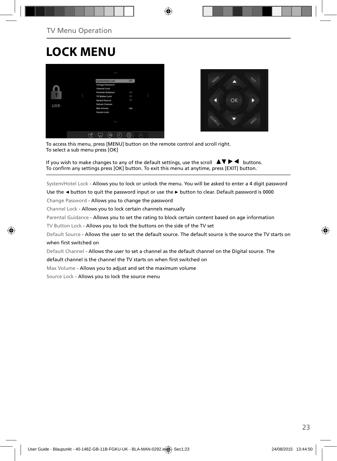## **LOCK MENU**





To access this menu, press [MENU] button on the remote control and scroll right. To select a sub menu press [OK]

If you wish to make changes to any of the default settings, use the scroll  $\Delta \nabla \blacktriangleright \blacktriangleleft$  buttons. To confirm any settings press [OK] button. To exit this menu at anytime, press [EXIT] button.

System/Hotel Lock - Allows you to lock or unlock the menu. You will be asked to enter a 4 digit password

Use the **◄** button to quit the password input or use the **►** button to clear. Default password is 0000

Change Password - Allows you to change the password

Channel Lock - Allows you to lock certain channels manually

Parental Guidance - Allows you to set the rating to block certain content based on age information

TV Button Lock - Allows you to lock the buttons on the side of the TV set

Default Source - Allows the user to set the default source. The default source is the source the TV starts on when first switched on

Default Channel - Allows the user to set a channel as the default channel on the Digital source. The

default channel is the channel the TV starts on when first switched on

Max Volume - Allows you to adjust and set the maximum volume

Source Lock - Allows you to lock the source menu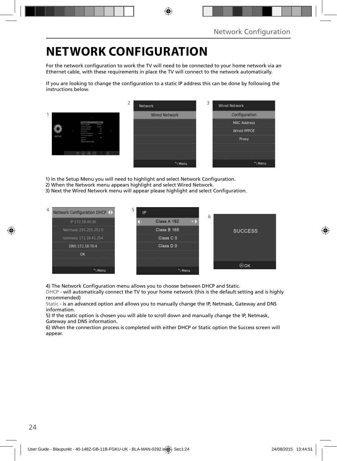## **NETWORK CONFIGURATION**

For the network configuration to work the TV will need to be connected to your home network via an Ethernet cable, with these requirements in place the TV will connect to the network automatically.

If you are looking to change the configuration to a static IP address this can be done by following the instructions below.

|       |                                                                                                                                               | ∠<br>Network         | 3<br><b>Wired Network</b> |
|-------|-----------------------------------------------------------------------------------------------------------------------------------------------|----------------------|---------------------------|
|       |                                                                                                                                               | <b>Wired Network</b> | Configuration             |
|       | <b>COLOR</b><br><b><i><u>Andre Component</u></i></b>                                                                                          |                      | <b>MAC Address</b>        |
|       | <b>SOLD</b><br><b>Extension Last governor</b><br>×<br><b>Heating Program</b><br><b>But formed</b><br>m.<br>man.<br><b>Several Listapolism</b> |                      | <b>Wired PPPOE</b>        |
| SETUP | ling Strainwaren<br>ł<br><b>STATE OF</b><br><b>Senat Die</b><br>Sollared Learn (218)                                                          |                      | Proxy                     |
|       |                                                                                                                                               |                      |                           |
|       |                                                                                                                                               |                      |                           |
|       |                                                                                                                                               | Menu                 | "Menu                     |

1) In the Setup Menu you will need to highlight and select Network Configuration.

- 2) When the Network menu appears highlight and select Wired Network.
- 3) Next the Wired Network menu will appear please highlight and select Configuration.



4) The Network Configuration menu allows you to choose between DHCP and Static.

DHCP - will automatically connect the TV to your home network (this is the default setting and is highly recommended)

Static - is an advanced option and allows you to manually change the IP, Netmask, Gateway and DNS information.

5) If the static option is chosen you will able to scroll down and manually change the IP, Netmask, Gateway and DNS information.

6) When the connection process is completed with either DHCP or Static option the Success screen will appear.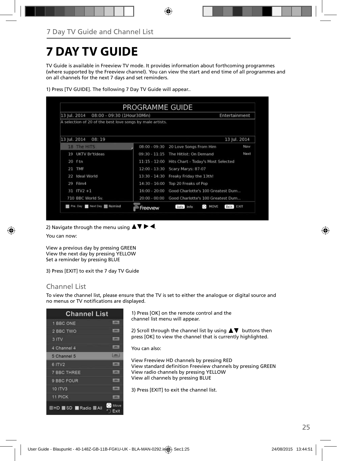## **7 DAY TV GUIDE**

TV Guide is available in Freeview TV mode. It provides information about forthcoming programmes (where supported by the Freeview channel). You can view the start and end time of all programmes and on all channels for the next 7 days and set reminders.

| 13 Iul. 2014<br>08:00 - 09:30 (1Hour30Min)                |                 | Entertainment                                             |                  |  |
|-----------------------------------------------------------|-----------------|-----------------------------------------------------------|------------------|--|
| A selection of 20 of the best love songs by male artists. |                 |                                                           |                  |  |
| 13 Jul. 2014<br>08:19                                     |                 |                                                           | 13 Jul. 2014     |  |
| 18 The HITS                                               | $08:00 - 09:30$ | 20 Love Songs From Him                                    | Now              |  |
| UKTV Britideas<br>19                                      | $09:30 - 11:15$ | The Hitlist: On Demand                                    | Next             |  |
| $20$ ftn                                                  | $11:15 - 12:00$ | Hits Chart - Today's Most Selected                        |                  |  |
| <b>TMF</b><br>21                                          | $12:00 - 13:30$ | Scary Marys: 87-07                                        |                  |  |
| Ideal World<br>22                                         | $13:30 - 14:30$ | Freaky Friday the 13th!                                   |                  |  |
| Film4<br>29                                               | $14:30 - 16:00$ | Top 20 Freaks of Pop                                      |                  |  |
| $31$ ITV2 +1                                              | $16:00 - 20:00$ | Good Charlotte's 100 Greatest Dum                         |                  |  |
| 710 BBC World Sv.                                         | $20:00 - 00:00$ | Good Charlotte's 100 Greatest Dum                         |                  |  |
| Pre. Day Next Day <b>1 Remind</b>                         | Freeview        | $\mathbf{a}^{\mathsf{T},\mathsf{p}}$<br>MOVE<br>Info Info | Exit <b>BXII</b> |  |

1) Press [TV GUIDE]. The following 7 Day TV Guide will appear..

2) Navigate through the menu using  $\blacktriangle \blacktriangledown \blacktriangleright \blacktriangleleft$ .

You can now:

View a previous day by pressing GREEN View the next day by pressing YELLOW Set a reminder by pressing BLUE

3) Press [EXIT] to exit the 7 day TV Guide

### Channel List

To view the channel list, please ensure that the TV is set to either the analogue or digital source and no menus or TV notifications are displayed.

| <b>Channel List</b>      |                                 |
|--------------------------|---------------------------------|
| 1 BBC ONE                | <b>LODGE</b>                    |
| 2 BBC TWO                | <b>LOTAL</b>                    |
| 3 ITV                    | <b>LETTA:</b>                   |
| 4 Channel 4              | $-107$ V                        |
| 5 Channel 5              | <b>Hanks</b>                    |
| 6 ITV2                   | <b>ISTAN</b>                    |
| <b>7 BBC THREE</b>       | <b>CENT</b>                     |
| 9 BBC FOUR               | œ                               |
| <b>10 ITV3</b>           | m                               |
| 11 PICK                  | m                               |
| <b>EHD SD Radio MAII</b> | $\cdot$ $\cdot$<br>Move<br>Exit |

1) Press [OK] on the remote control and the channel list menu will appear.

2) Scroll through the channel list by using  $\blacktriangle \blacktriangledown$  buttons then press [OK] to view the channel that is currently highlighted.

You can also:

View Freeview HD channels by pressing RED View standard definition Freeview channels by pressing GREEN View radio channels by pressing YELLOW View all channels by pressing BLUE

3) Press [EXIT] to exit the channel list.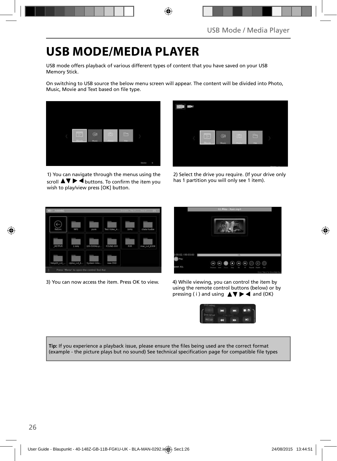## **USB MODE/MEDIA PLAYER**

USB mode offers playback of various different types of content that you have saved on your USB Memory Stick.

On switching to USB source the below menu screen will appear. The content will be divided into Photo, Music, Movie and Text based on file type.



1) You can navigate through the menus using the scroll  $\blacktriangle \blacktriangledown \blacktriangleright \blacktriangleleft$  buttons. To confirm the item you wish to play/view press [OK] button.



2) Select the drive you require. (If your drive only has 1 partition you will only see 1 item).



3) You can now access the item. Press OK to view. 4) While viewing, you can control the item by



using the remote control buttons (below) or by pressing ( i ) and using  $\triangle \blacktriangledown \blacktriangleright \blacktriangleleft$  and (OK)



Tip: If you experience a playback issue, please ensure the files being used are the correct format (example - the picture plays but no sound) See technical specification page for compatible file types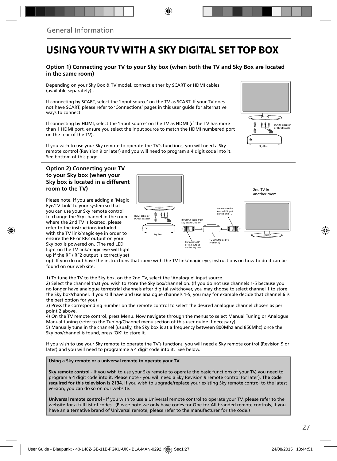### **USING YOUR TV WITH A SKY DIGITAL SET TOP BOX**

#### **Option 1) Connecting your TV to your Sky box (when both the TV and Sky Box are located in the same room)**

Depending on your Sky Box & TV model, connect either by SCART or HDMI cables (available separately) .

If connecting by SCART, select the 'Input source' on the TV as SCART. If your TV does not have SCART, please refer to 'Connections' pages in this user guide for alternative ways to connect.

If connecting by HDMI, select the 'Input source' on the TV as HDMI (if the TV has more than 1 HDMI port, ensure you select the input source to match the HDMI numbered port on the rear of the TV).

If you wish to use your Sky remote to operate the TV's functions, you will need a Sky remote control (Revision 9 or later) and you will need to program a 4 digit code into it. See bottom of this page.

#### **Option 2) Connecting your TV to your Sky box (when your Sky box is located in a different room to the TV)**

Please note, if you are adding a 'Magic Eye/TV Link' to your system so that you can use your Sky remote control to change the Sky channel in the room where the 2nd TV is located, please refer to the instructions included with the TV link/magic eye in order to ensure the RF or RF2 output on your Sky box is powered on. (The red LED light on the TV link/magic eye will light up if the RF / RF2 output is correctly set



up) If you do not have the instructions that came with the TV link/magic eye, instructions on how to do it can be found on our web site.

1) To tune the TV to the Sky box, on the 2nd TV, select the 'Analogue' input source.

2) Select the channel that you wish to store the Sky box/channel on. (If you do not use channels 1-5 because you no longer have analogue terrestrial channels after digital switchover, you may choose to select channel 1 to store the Sky box/channel, if you still have and use analogue channels 1-5, you may for example decide that channel 6 is the best option for you)

3) Press the corresponding number on the remote control to select the desired analogue channel chosen as per point 2 above.

4) On the TV remote control, press Menu. Now navigate through the menus to select Manual Tuning or Analogue Manual tuning (refer to the Tuning/Channel menu section of this user guide if necessary)

5) Manually tune in the channel (usually, the Sky box is at a frequency between 800Mhz and 850Mhz) once the Sky box/channel is found, press 'OK' to store it.

If you wish to use your Sky remote to operate the TV's functions, you will need a Sky remote control (Revision 9 or later) and you will need to programme a 4 digit code into it. See below.

**Using a Sky remote or a universal remote to operate your TV** 

**Sky remote control** - If you wish to use your Sky remote to operate the basic functions of your TV, you need to program a 4 digit code into it. Please note - you will need a Sky Revision 9 remote control (or later). **The code required for this television is 2134.** If you wish to upgrade/replace your existing Sky remote control to the latest version, you can do so on our website.

**Universal remote control** - If you wish to use a Universal remote control to operate your TV, please refer to the website for a full list of codes. (Please note we only have codes for One for All branded remote controls, if you have an alternative brand of Universal remote, please refer to the manufacturer for the code.)

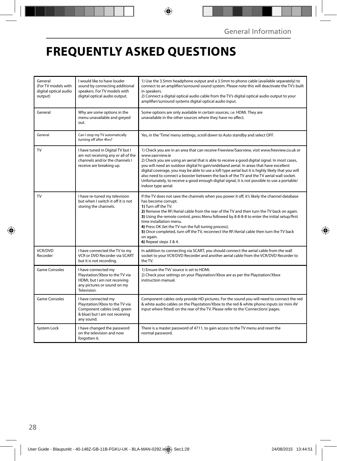## **FREQUENTLY ASKED QUESTIONS**

| General<br>(For TV models with<br>digital optical audio<br>output) | I would like to have louder<br>sound by connecting additional<br>speakers. For TV models with<br>digital optical audio output.        | 1) Use the 3.5mm headphone output and a 3.5mm to phono cable (available separately) to<br>connect to an amplifier/surround sound system. Please note this will deactivate the TV's built<br>in speakers.<br>2) Connect a digital optical audio cable from the TV's digital optical audio output to your<br>amplifier/surround systems digital optical audio input.                                                                                                                                                                                                                                                                  |  |
|--------------------------------------------------------------------|---------------------------------------------------------------------------------------------------------------------------------------|-------------------------------------------------------------------------------------------------------------------------------------------------------------------------------------------------------------------------------------------------------------------------------------------------------------------------------------------------------------------------------------------------------------------------------------------------------------------------------------------------------------------------------------------------------------------------------------------------------------------------------------|--|
| General                                                            | Why are some options in the<br>menu unavailable and greyed<br>out.                                                                    | Some options are only available in certain sources, i.e. HDMI. They are<br>unavailable in the other sources where they have no affect.                                                                                                                                                                                                                                                                                                                                                                                                                                                                                              |  |
| General                                                            | Can I stop my TV automatically<br>turning off after 4hrs?                                                                             | Yes, in the 'Time' menu settings, scroll down to Auto standby and select OFF.                                                                                                                                                                                                                                                                                                                                                                                                                                                                                                                                                       |  |
| <b>TV</b>                                                          | I have tuned in Digital TV but I<br>am not receiving any or all of the<br>channels and/or the channels I<br>receive are breaking up.  | 1) Check you are in an area that can receive Freeview/Saorview, visit www.freeview.co.uk or<br>www.saorview.ie<br>2) Check you are using an aerial that is able to receive a good digital signal. In most cases,<br>you will need an outdoor digital hi-gain/wideband aerial. In areas that have excellent<br>digital coverage, you may be able to use a loft type aerial but it is highly likely that you will<br>also need to connect a booster between the back of the TV and the TV aerial wall socket.<br>Unfortunately, to receive a good enough digital signal, it is not possible to use a portable/<br>indoor type aerial. |  |
| TV                                                                 | I have re-tuned my television<br>but when I switch it off it is not<br>storing the channels.                                          | If the TV does not save the channels when you power it off, it's likely the channel database<br>has become corrupt.<br>1) Turn off the TV.<br>2) Remove the RF/Aerial cable from the rear of the TV and then turn the TV back on again.<br>3) Using the remote control, press Menu followed by 8-8-8-8 to enter the initial setup/first<br>time installation menu.<br>4) Press OK (let the TV run the full tuning process).<br>5) Once completed, turn off the TV, reconnect the RF/Aerial cable then turn the TV back<br>on again.<br>6) Repeat steps 3 & 4.                                                                       |  |
| <b>VCR/DVD</b><br>Recorder                                         | I have connected the TV to my<br>VCR or DVD Recorder via SCART<br>but it is not recording.                                            | In addition to connecting via SCART, you should connect the aerial cable from the wall<br>socket to your VCR/DVD Recorder and another aerial cable from the VCR/DVD Recorder to<br>the TV.                                                                                                                                                                                                                                                                                                                                                                                                                                          |  |
| <b>Game Consoles</b>                                               | I have connected my<br>Playstation/Xbox to the TV via<br>HDMI, but I am not receiving<br>any pictures or sound on my<br>Television.   | 1) Ensure the TVs' source is set to HDMI.<br>2) Check your settings on your Playstation/Xbox are as per the Playstation/Xbox<br>instruction manual.                                                                                                                                                                                                                                                                                                                                                                                                                                                                                 |  |
| <b>Game Consoles</b>                                               | I have connected my<br>Playstation/Xbox to the TV via<br>Component cables (red, green<br>& blue) but I am not receiving<br>any sound. | Component cables only provide HD pictures. For the sound you will need to connect the red<br>& white audio cables on the Playstation/Xbox to the red & white phono inputs (or mini AV<br>input where fitted) on the rear of the TV. Please refer to the 'Connections' pages.                                                                                                                                                                                                                                                                                                                                                        |  |
| System Lock                                                        | I have changed the password<br>on the television and now<br>forgotten it.                                                             | There is a master password of 4711, to gain access to the TV menu and reset the<br>normal password.                                                                                                                                                                                                                                                                                                                                                                                                                                                                                                                                 |  |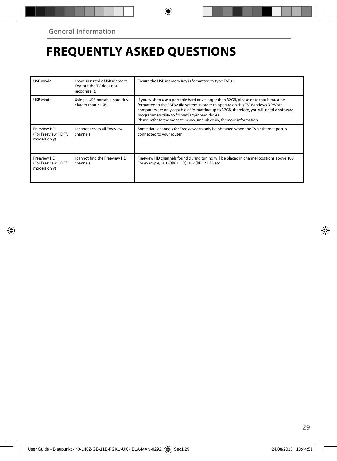## **FREQUENTLY ASKED QUESTIONS**

| USB Mode                                          | I have inserted a USB Memory<br>Key, but the TV does not<br>recognise it. | Ensure the USB Memory Key is formatted to type FAT32.                                                                                                                                                                                                                                                                                                                                                |
|---------------------------------------------------|---------------------------------------------------------------------------|------------------------------------------------------------------------------------------------------------------------------------------------------------------------------------------------------------------------------------------------------------------------------------------------------------------------------------------------------------------------------------------------------|
| USB Mode                                          | Using a USB portable hard drive<br>/ larger than 32GB.                    | If you wish to use a portable hard drive larger than 32GB, please note that it must be<br>formatted to the FAT32 file system in order to operate on this TV. Windows XP/Vista<br>computers are only capable of formatting up to 32GB, therefore, you will need a software<br>programme/utility to format larger hard drives.<br>Please refer to the website, www.umc-uk.co.uk, for more information. |
| Freeview HD<br>(For Freeview HDTV<br>models only) | <b>Lcannot access all Freeview</b><br>channels.                           | Some data channels for Freeview can only be obtained when the TV's ethernet port is<br>connected to your router.                                                                                                                                                                                                                                                                                     |
| Freeview HD<br>(For Freeview HDTV<br>models only) | I cannot find the Freeview HD<br>channels.                                | Freeview HD channels found during tuning will be placed in channel positions above 100.<br>For example, 101 (BBC1 HD), 102 (BBC2 HD) etc.                                                                                                                                                                                                                                                            |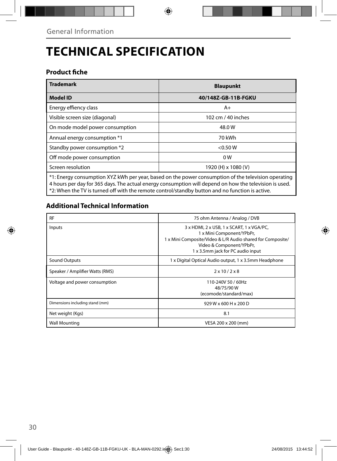# **TECHNICAL SPECIFICATION**

### **Product fiche**

| <b>Trademark</b>                                                                                    | <b>Blaupunkt</b>    |  |
|-----------------------------------------------------------------------------------------------------|---------------------|--|
| <b>Model ID</b>                                                                                     | 40/148Z-GB-11B-FGKU |  |
| Energy effiency class                                                                               | $A+$                |  |
| Visible screen size (diagonal)                                                                      | 102 cm / 40 inches  |  |
| On mode model power consumption                                                                     | 48.0W               |  |
| Annual energy consumption *1                                                                        | 70 kWh              |  |
| Standby power consumption *2                                                                        | < 0.50 W            |  |
| Off mode power consumption                                                                          | 0 <sub>W</sub>      |  |
| Screen resolution                                                                                   | 1920 (H) x 1080 (V) |  |
| *1: Energy consumption XYZ kWh per year, based on the power consumption of the television operating |                     |  |

\*1: Energy consumption XYZ kWh per year, based on the power consumption of the television operating 4 hours per day for 365 days. The actual energy consumption will depend on how the television is used. \*2: When the TV is turned off with the remote control/standby button and no function is active.

### **Additional Technical Information**

| <b>RF</b>                       | 75 ohm Antenna / Analog / DVB                                                                                                                                                                         |  |
|---------------------------------|-------------------------------------------------------------------------------------------------------------------------------------------------------------------------------------------------------|--|
| Inputs                          | 3 x HDMI, 2 x USB, 1 x SCART, 1 x VGA/PC,<br>1 x Mini Component/YPbPr,<br>1 x Mini Composite/Video & L/R Audio shared for Composite/<br>Video & Component/YPbPr,<br>1 x 3.5mm jack for PC audio input |  |
| Sound Outputs                   | 1 x Digital Optical Audio output, 1 x 3.5mm Headphone                                                                                                                                                 |  |
| Speaker / Amplifier Watts (RMS) | $2 \times 10 / 2 \times 8$                                                                                                                                                                            |  |
| Voltage and power consumption   | 110-240V 50 / 60Hz<br>48/75/90W<br>(ecomode/standard/max)                                                                                                                                             |  |
| Dimensions including stand (mm) | 929 W x 600 H x 200 D                                                                                                                                                                                 |  |
| Net weight (Kgs)                | 8.1                                                                                                                                                                                                   |  |
| <b>Wall Mounting</b>            | VESA 200 x 200 (mm)                                                                                                                                                                                   |  |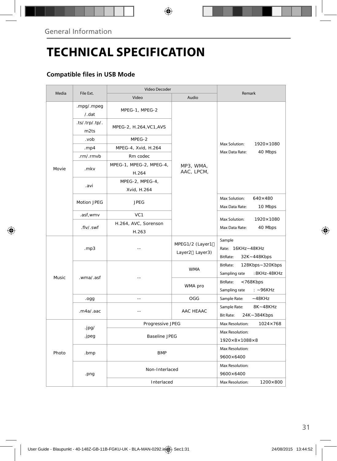# **TECHNICAL SPECIFICATION**

### **Compatible files in USB Mode**

|        |                             | Video Decoder                    |                                   |                                                              |  |
|--------|-----------------------------|----------------------------------|-----------------------------------|--------------------------------------------------------------|--|
| Media  | File Ext.                   | Video                            | Audio                             | Remark                                                       |  |
|        | .mpg/.mpeg<br>$/$ .dat      | MPEG-1, MPEG-2                   |                                   |                                                              |  |
|        | .ts/.trp/.tp/.<br>m2ts      | MPEG-2, H.264, VC1, AVS          |                                   |                                                              |  |
|        | .vob                        | MPEG-2                           | MP3, WMA,<br>AAC, LPCM,           |                                                              |  |
|        | . $mp4$                     | MPEG-4, Xvid, H.264              |                                   | Max Solution:<br>1920×1080                                   |  |
|        | .rm/.rmvb                   | Rm codec                         |                                   | Max Data Rate:<br>40 Mbps                                    |  |
| Movie  | .mkv                        | MPEG-1, MPEG-2, MPEG-4,<br>H.264 |                                   |                                                              |  |
|        | .avi                        | MPEG-2, MPEG-4,<br>Xvid, H.264   |                                   |                                                              |  |
|        | Motion JPEG                 | <b>JPEG</b>                      |                                   | Max Solution:<br>$640\times480$<br>Max Data Rate:<br>10 Mbps |  |
|        | .asf,wmv                    | VC <sub>1</sub>                  |                                   |                                                              |  |
|        | .flv/.swf                   | H.264, AVC, Sorenson<br>H.263    |                                   | Max Solution:<br>1920×1080<br>Max Data Rate:<br>40 Mbps      |  |
| Music. | .mp3                        |                                  | MPEG1/2 (Layer1<br>Layer2 Layer3) | Sample<br>Rate: 16KHz~48KHz<br>BitRate:<br>32K~448Kbps       |  |
|        | .wma/.asf<br>.ogg<br>$\sim$ |                                  | <b>WMA</b>                        | BitRate:<br>128Kbps~320Kbps<br>:8KHz-48KHz<br>Sampling rate  |  |
|        |                             |                                  | WMA pro                           | BitRate:<br><768Kbps<br>Sampling rate<br>$: -96KHz$          |  |
|        |                             |                                  | OGG                               | Sample Rate:<br>$-48KHz$                                     |  |
|        | maa/aac                     |                                  | AAC HFAAC                         | 8K~48KHz<br>Sample Rate:<br><b>Bit Rate:</b><br>24K~384Kbps  |  |
|        |                             | Progressive JPEG                 |                                   | $1024 \times 768$<br>Max Resolution:                         |  |
| Photo  | .jpg/                       | <b>Baseline JPEG</b>             |                                   | Max Resolution:                                              |  |
|        | .jpeg                       |                                  |                                   | $1920\times8\times1088\times8$                               |  |
|        | .bmp                        | <b>BMP</b>                       |                                   | Max Resolution:<br>9600×6400                                 |  |
|        | Non-Interlaced<br>.png      |                                  |                                   | Max Resolution:<br>9600×6400                                 |  |
|        |                             | Interlaced                       |                                   | Max Resolution:<br>1200×800                                  |  |